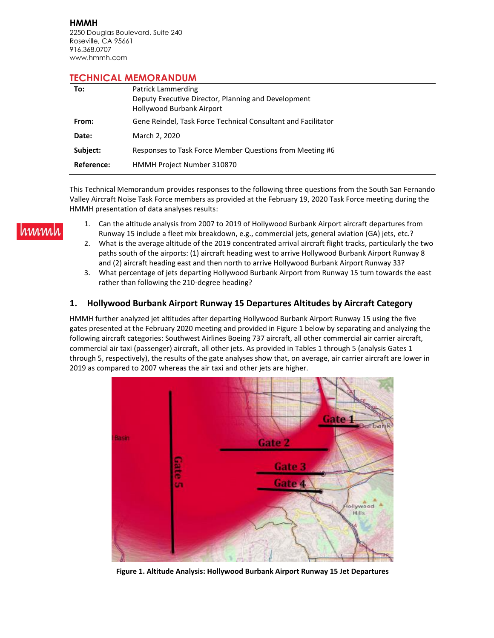**HMMH** 2250 Douglas Boulevard, Suite 240 Roseville, CA 95661 916.368.0707 www.hmmh.com

## **TECHNICAL MEMORANDUM**

| To:        | <b>Patrick Lammerding</b><br>Deputy Executive Director, Planning and Development<br><b>Hollywood Burbank Airport</b> |
|------------|----------------------------------------------------------------------------------------------------------------------|
| From:      | Gene Reindel, Task Force Technical Consultant and Facilitator                                                        |
| Date:      | March 2, 2020                                                                                                        |
| Subject:   | Responses to Task Force Member Questions from Meeting #6                                                             |
| Reference: | HMMH Project Number 310870                                                                                           |

This Technical Memorandum provides responses to the following three questions from the South San Fernando Valley Aircraft Noise Task Force members as provided at the February 19, 2020 Task Force meeting during the HMMH presentation of data analyses results:

- rmml
	- 1. Can the altitude analysis from 2007 to 2019 of Hollywood Burbank Airport aircraft departures from Runway 15 include a fleet mix breakdown, e.g., commercial jets, general aviation (GA) jets, etc.?
	- 2. What is the average altitude of the 2019 concentrated arrival aircraft flight tracks, particularly the two paths south of the airports: (1) aircraft heading west to arrive Hollywood Burbank Airport Runway 8 and (2) aircraft heading east and then north to arrive Hollywood Burbank Airport Runway 33?
	- 3. What percentage of jets departing Hollywood Burbank Airport from Runway 15 turn towards the east rather than following the 210-degree heading?

## **1. Hollywood Burbank Airport Runway 15 Departures Altitudes by Aircraft Category**

HMMH further analyzed jet altitudes after departing Hollywood Burbank Airport Runway 15 using the five gates presented at the February 2020 meeting and provided in Figure 1 below by separating and analyzing the following aircraft categories: Southwest Airlines Boeing 737 aircraft, all other commercial air carrier aircraft, commercial air taxi (passenger) aircraft, all other jets. As provided in Tables 1 through 5 (analysis Gates 1 through 5, respectively), the results of the gate analyses show that, on average, air carrier aircraft are lower in 2019 as compared to 2007 whereas the air taxi and other jets are higher.



**Figure 1. Altitude Analysis: Hollywood Burbank Airport Runway 15 Jet Departures**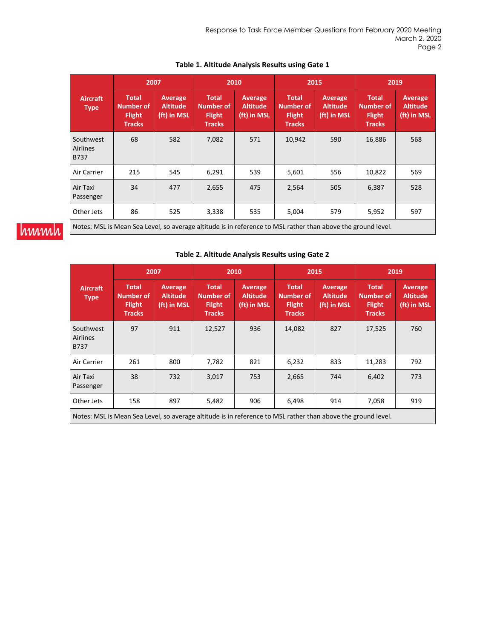|                                      |                                                                                                              | 2007                                      |                                                                    | 2010                                      | 2015                                                               |                                           |                                                                    | 2019                                      |
|--------------------------------------|--------------------------------------------------------------------------------------------------------------|-------------------------------------------|--------------------------------------------------------------------|-------------------------------------------|--------------------------------------------------------------------|-------------------------------------------|--------------------------------------------------------------------|-------------------------------------------|
| <b>Aircraft</b><br><b>Type</b>       | <b>Total</b><br><b>Number of</b><br><b>Flight</b><br><b>Tracks</b>                                           | Average<br><b>Altitude</b><br>(ft) in MSL | <b>Total</b><br><b>Number of</b><br><b>Flight</b><br><b>Tracks</b> | Average<br><b>Altitude</b><br>(ft) in MSL | <b>Total</b><br><b>Number of</b><br><b>Flight</b><br><b>Tracks</b> | Average<br><b>Altitude</b><br>(ft) in MSL | <b>Total</b><br><b>Number of</b><br><b>Flight</b><br><b>Tracks</b> | Average<br><b>Altitude</b><br>(ft) in MSL |
| Southwest<br><b>Airlines</b><br>B737 | 68                                                                                                           | 582                                       | 7,082                                                              | 571                                       | 10,942                                                             | 590                                       | 16,886                                                             | 568                                       |
| Air Carrier                          | 215                                                                                                          | 545                                       | 6,291                                                              | 539                                       | 5,601                                                              | 556                                       | 10,822                                                             | 569                                       |
| Air Taxi<br>Passenger                | 34                                                                                                           | 477                                       | 2,655                                                              | 475                                       | 2,564                                                              | 505                                       | 6,387                                                              | 528                                       |
| Other Jets                           | 86                                                                                                           | 525                                       | 3,338                                                              | 535                                       | 5,004                                                              | 579                                       | 5,952                                                              | 597                                       |
|                                      | Notes: MSL is Mean Sea Level, so average altitude is in reference to MSL rather than above the ground level. |                                           |                                                                    |                                           |                                                                    |                                           |                                                                    |                                           |

### **Table 1. Altitude Analysis Results using Gate 1**

# hmmh

#### **Table 2. Altitude Analysis Results using Gate 2**

|                                                                                                              |                                                             | 2007                                      |                                                                    | 2010                                      |                                                                    | 2015                                      |                                                                    | 2019                                      |
|--------------------------------------------------------------------------------------------------------------|-------------------------------------------------------------|-------------------------------------------|--------------------------------------------------------------------|-------------------------------------------|--------------------------------------------------------------------|-------------------------------------------|--------------------------------------------------------------------|-------------------------------------------|
| <b>Aircraft</b><br><b>Type</b>                                                                               | <b>Total</b><br>Number of<br><b>Flight</b><br><b>Tracks</b> | Average<br><b>Altitude</b><br>(ft) in MSL | <b>Total</b><br><b>Number of</b><br><b>Flight</b><br><b>Tracks</b> | Average<br><b>Altitude</b><br>(ft) in MSL | <b>Total</b><br><b>Number of</b><br><b>Flight</b><br><b>Tracks</b> | Average<br><b>Altitude</b><br>(ft) in MSL | <b>Total</b><br><b>Number of</b><br><b>Flight</b><br><b>Tracks</b> | Average<br><b>Altitude</b><br>(ft) in MSL |
| Southwest<br><b>Airlines</b><br><b>B737</b>                                                                  | 97                                                          | 911                                       | 12,527                                                             | 936                                       | 14,082                                                             | 827                                       | 17,525                                                             | 760                                       |
| Air Carrier                                                                                                  | 261                                                         | 800                                       | 7,782                                                              | 821                                       | 6,232                                                              | 833                                       | 11,283                                                             | 792                                       |
| Air Taxi<br>Passenger                                                                                        | 38                                                          | 732                                       | 3,017                                                              | 753                                       | 2,665                                                              | 744                                       | 6,402                                                              | 773                                       |
| Other Jets                                                                                                   | 158                                                         | 897                                       | 5,482                                                              | 906                                       | 6,498                                                              | 914                                       | 7,058                                                              | 919                                       |
| Notes: MSL is Mean Sea Level, so average altitude is in reference to MSL rather than above the ground level. |                                                             |                                           |                                                                    |                                           |                                                                    |                                           |                                                                    |                                           |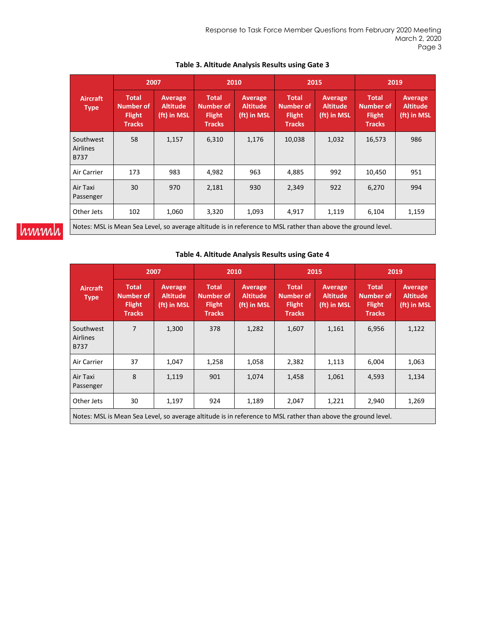|                                             | 2007                                                                                                         |                                           |                                                                    | 2010                                      |                                                             | 2015                                             |                                                             | 2019                                      |
|---------------------------------------------|--------------------------------------------------------------------------------------------------------------|-------------------------------------------|--------------------------------------------------------------------|-------------------------------------------|-------------------------------------------------------------|--------------------------------------------------|-------------------------------------------------------------|-------------------------------------------|
| <b>Aircraft</b><br><b>Type</b>              | Total<br>Number of<br><b>Flight</b><br><b>Tracks</b>                                                         | Average<br><b>Altitude</b><br>(ft) in MSL | <b>Total</b><br><b>Number of</b><br><b>Flight</b><br><b>Tracks</b> | Average<br><b>Altitude</b><br>(ft) in MSL | <b>Total</b><br>Number of<br><b>Flight</b><br><b>Tracks</b> | <b>Average</b><br><b>Altitude</b><br>(ft) in MSL | <b>Total</b><br>Number of<br><b>Flight</b><br><b>Tracks</b> | Average<br><b>Altitude</b><br>(ft) in MSL |
| Southwest<br><b>Airlines</b><br><b>B737</b> | 58                                                                                                           | 1,157                                     | 6,310                                                              | 1,176                                     | 10,038                                                      | 1,032                                            | 16,573                                                      | 986                                       |
| Air Carrier                                 | 173                                                                                                          | 983                                       | 4,982                                                              | 963                                       | 4,885                                                       | 992                                              | 10,450                                                      | 951                                       |
| Air Taxi<br>Passenger                       | 30                                                                                                           | 970                                       | 2,181                                                              | 930                                       | 2,349                                                       | 922                                              | 6,270                                                       | 994                                       |
| Other Jets                                  | 102                                                                                                          | 1,060                                     | 3,320                                                              | 1,093                                     | 4,917                                                       | 1,119                                            | 6,104                                                       | 1,159                                     |
|                                             | Notes: MSL is Mean Sea Level, so average altitude is in reference to MSL rather than above the ground level. |                                           |                                                                    |                                           |                                                             |                                                  |                                                             |                                           |

### **Table 3. Altitude Analysis Results using Gate 3**

# hmmh

#### **Table 4. Altitude Analysis Results using Gate 4**

|                                             | 2007                                                                                                         |                                           |                                                                    | 2010                                      |                                                                    | 2015                                             | 2019                                                               |                                           |
|---------------------------------------------|--------------------------------------------------------------------------------------------------------------|-------------------------------------------|--------------------------------------------------------------------|-------------------------------------------|--------------------------------------------------------------------|--------------------------------------------------|--------------------------------------------------------------------|-------------------------------------------|
| <b>Aircraft</b><br><b>Type</b>              | <b>Total</b><br><b>Number of</b><br><b>Flight</b><br><b>Tracks</b>                                           | Average<br><b>Altitude</b><br>(ft) in MSL | <b>Total</b><br><b>Number of</b><br><b>Flight</b><br><b>Tracks</b> | Average<br><b>Altitude</b><br>(ft) in MSL | <b>Total</b><br><b>Number of</b><br><b>Flight</b><br><b>Tracks</b> | <b>Average</b><br><b>Altitude</b><br>(ft) in MSL | <b>Total</b><br><b>Number of</b><br><b>Flight</b><br><b>Tracks</b> | Average<br><b>Altitude</b><br>(ft) in MSL |
| Southwest<br><b>Airlines</b><br><b>B737</b> | 7                                                                                                            | 1,300                                     | 378                                                                | 1,282                                     | 1,607                                                              | 1,161                                            | 6,956                                                              | 1,122                                     |
| Air Carrier                                 | 37                                                                                                           | 1,047                                     | 1,258                                                              | 1,058                                     | 2,382                                                              | 1,113                                            | 6,004                                                              | 1,063                                     |
| Air Taxi<br>Passenger                       | 8                                                                                                            | 1,119                                     | 901                                                                | 1,074                                     | 1,458                                                              | 1,061                                            | 4,593                                                              | 1,134                                     |
| Other Jets                                  | 30                                                                                                           | 1,197                                     | 924                                                                | 1,189                                     | 2,047                                                              | 1,221                                            | 2,940                                                              | 1,269                                     |
|                                             | Notes: MSL is Mean Sea Level, so average altitude is in reference to MSL rather than above the ground level. |                                           |                                                                    |                                           |                                                                    |                                                  |                                                                    |                                           |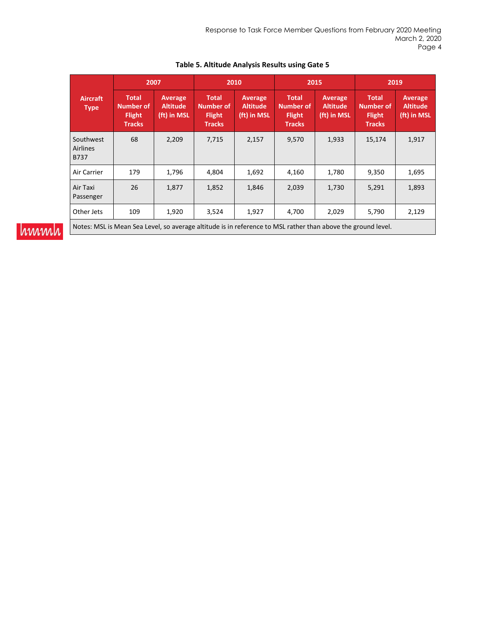|                                                                                                              | 2007                                                        |                                           |                                                             | 2010                                      |                                                                    | 2015                                             | 2019                                                               |                                           |
|--------------------------------------------------------------------------------------------------------------|-------------------------------------------------------------|-------------------------------------------|-------------------------------------------------------------|-------------------------------------------|--------------------------------------------------------------------|--------------------------------------------------|--------------------------------------------------------------------|-------------------------------------------|
| <b>Aircraft</b><br><b>Type</b>                                                                               | <b>Total</b><br>Number of<br><b>Flight</b><br><b>Tracks</b> | Average<br><b>Altitude</b><br>(ft) in MSL | <b>Total</b><br>Number of<br><b>Flight</b><br><b>Tracks</b> | Average<br><b>Altitude</b><br>(ft) in MSL | <b>Total</b><br><b>Number of</b><br><b>Flight</b><br><b>Tracks</b> | <b>Average</b><br><b>Altitude</b><br>(ft) in MSL | <b>Total</b><br><b>Number of</b><br><b>Flight</b><br><b>Tracks</b> | Average<br><b>Altitude</b><br>(ft) in MSL |
| Southwest<br><b>Airlines</b><br>B737                                                                         | 68                                                          | 2,209                                     | 7,715                                                       | 2,157                                     | 9,570                                                              | 1,933                                            | 15,174                                                             | 1,917                                     |
| Air Carrier                                                                                                  | 179                                                         | 1,796                                     | 4,804                                                       | 1,692                                     | 4,160                                                              | 1,780                                            | 9,350                                                              | 1,695                                     |
| Air Taxi<br>Passenger                                                                                        | 26                                                          | 1,877                                     | 1,852                                                       | 1,846                                     | 2,039                                                              | 1,730                                            | 5,291                                                              | 1,893                                     |
| Other Jets                                                                                                   | 109                                                         | 1,920                                     | 3,524                                                       | 1,927                                     | 4,700                                                              | 2,029                                            | 5,790                                                              | 2,129                                     |
| Notes: MSL is Mean Sea Level, so average altitude is in reference to MSL rather than above the ground level. |                                                             |                                           |                                                             |                                           |                                                                    |                                                  |                                                                    |                                           |

## **Table 5. Altitude Analysis Results using Gate 5**

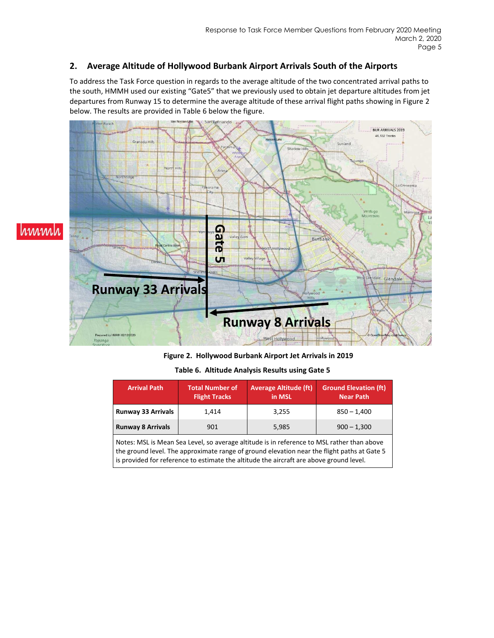## **2. Average Altitude of Hollywood Burbank Airport Arrivals South of the Airports**

To address the Task Force question in regards to the average altitude of the two concentrated arrival paths to the south, HMMH used our existing "Gate5" that we previously used to obtain jet departure altitudes from jet departures from Runway 15 to determine the average altitude of these arrival flight paths showing in Figure 2 below. The results are provided in Table 6 below the figure.



**Figure 2. Hollywood Burbank Airport Jet Arrivals in 2019**

**Table 6. Altitude Analysis Results using Gate 5**

| 3.255<br>1.414                                            | <b>Arrival Path</b>       | <b>Total Number of</b><br><b>Flight Tracks</b> | <b>Average Altitude (ft)</b><br>in MSL | <b>Ground Elevation (ft)</b><br><b>Near Path</b> |
|-----------------------------------------------------------|---------------------------|------------------------------------------------|----------------------------------------|--------------------------------------------------|
|                                                           | <b>Runway 33 Arrivals</b> |                                                |                                        | $850 - 1,400$                                    |
| <b>Runway 8 Arrivals</b><br>901<br>$900 - 1,300$<br>5,985 |                           |                                                |                                        |                                                  |

Notes: MSL is Mean Sea Level, so average altitude is in reference to MSL rather than above the ground level. The approximate range of ground elevation near the flight paths at Gate 5 is provided for reference to estimate the altitude the aircraft are above ground level.